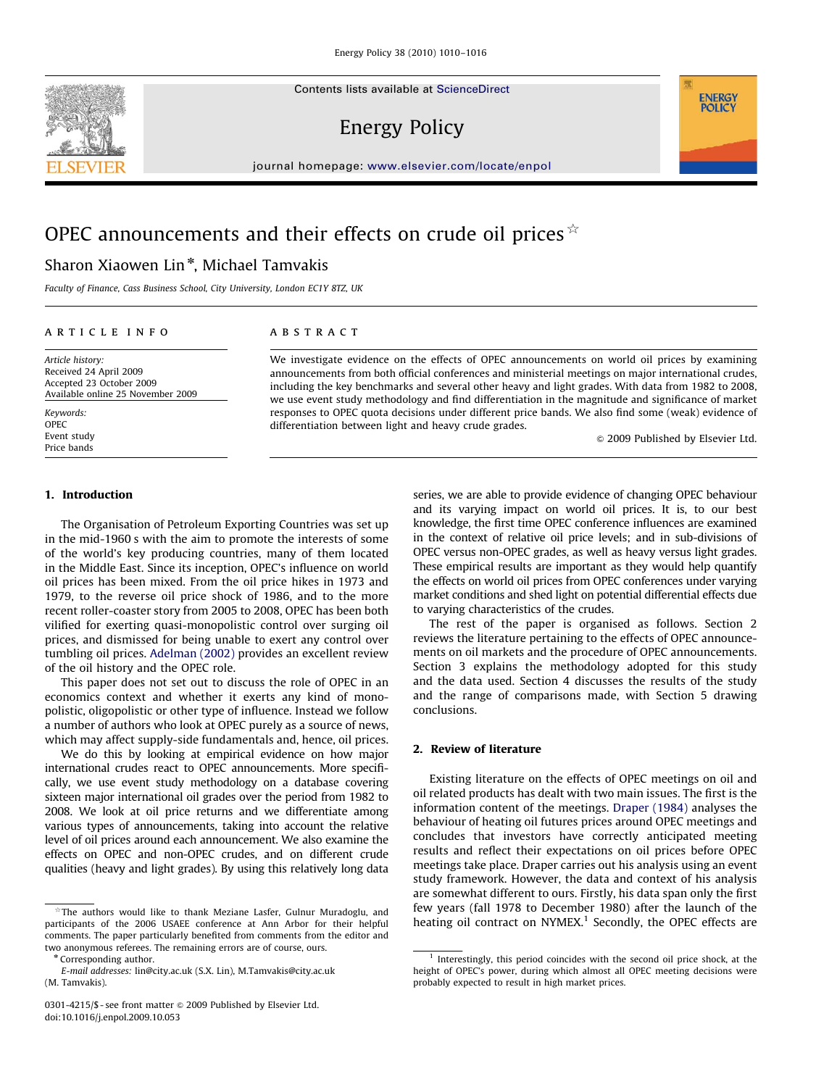Contents lists available at ScienceDirect

Energy Policy

journal homepage: <www.elsevier.com/locate/enpol>

# OPEC announcements and their effects on crude oil prices  $\dot{\alpha}$

# Sharon Xiaowen Lin\*, Michael Tamvakis

Faculty of Finance, Cass Business School, City University, London EC1Y 8TZ, UK

#### article info

Article history: Received 24 April 2009 Accepted 23 October 2009 Available online 25 November 2009

Keywords: OPEC Event study Price bands

#### 1. Introduction

## **ABSTRACT**

We investigate evidence on the effects of OPEC announcements on world oil prices by examining announcements from both official conferences and ministerial meetings on major international crudes, including the key benchmarks and several other heavy and light grades. With data from 1982 to 2008, we use event study methodology and find differentiation in the magnitude and significance of market responses to OPEC quota decisions under different price bands. We also find some (weak) evidence of differentiation between light and heavy crude grades.

 $\circ$  2009 Published by Elsevier Ltd.

**ENERGY POLICY** 

The Organisation of Petroleum Exporting Countries was set up in the mid-1960 s with the aim to promote the interests of some of the world's key producing countries, many of them located in the Middle East. Since its inception, OPEC's influence on world oil prices has been mixed. From the oil price hikes in 1973 and 1979, to the reverse oil price shock of 1986, and to the more recent roller-coaster story from 2005 to 2008, OPEC has been both vilified for exerting quasi-monopolistic control over surging oil prices, and dismissed for being unable to exert any control over tumbling oil prices. [Adelman \(2002\)](#page--1-0) provides an excellent review of the oil history and the OPEC role.

This paper does not set out to discuss the role of OPEC in an economics context and whether it exerts any kind of monopolistic, oligopolistic or other type of influence. Instead we follow a number of authors who look at OPEC purely as a source of news, which may affect supply-side fundamentals and, hence, oil prices.

We do this by looking at empirical evidence on how major international crudes react to OPEC announcements. More specifically, we use event study methodology on a database covering sixteen major international oil grades over the period from 1982 to 2008. We look at oil price returns and we differentiate among various types of announcements, taking into account the relative level of oil prices around each announcement. We also examine the effects on OPEC and non-OPEC crudes, and on different crude qualities (heavy and light grades). By using this relatively long data series, we are able to provide evidence of changing OPEC behaviour and its varying impact on world oil prices. It is, to our best knowledge, the first time OPEC conference influences are examined in the context of relative oil price levels; and in sub-divisions of OPEC versus non-OPEC grades, as well as heavy versus light grades. These empirical results are important as they would help quantify the effects on world oil prices from OPEC conferences under varying market conditions and shed light on potential differential effects due to varying characteristics of the crudes.

The rest of the paper is organised as follows. Section 2 reviews the literature pertaining to the effects of OPEC announcements on oil markets and the procedure of OPEC announcements. Section 3 explains the methodology adopted for this study and the data used. Section 4 discusses the results of the study and the range of comparisons made, with Section 5 drawing conclusions.

### 2. Review of literature

Existing literature on the effects of OPEC meetings on oil and oil related products has dealt with two main issues. The first is the information content of the meetings. [Draper \(1984\)](#page--1-0) analyses the behaviour of heating oil futures prices around OPEC meetings and concludes that investors have correctly anticipated meeting results and reflect their expectations on oil prices before OPEC meetings take place. Draper carries out his analysis using an event study framework. However, the data and context of his analysis are somewhat different to ours. Firstly, his data span only the first few years (fall 1978 to December 1980) after the launch of the heating oil contract on NYMEX. $1$  Secondly, the OPEC effects are



 $*$ The authors would like to thank Meziane Lasfer, Gulnur Muradoglu, and participants of the 2006 USAEE conference at Ann Arbor for their helpful comments. The paper particularly benefited from comments from the editor and two anonymous referees. The remaining errors are of course, ours.<br>\* Corresponding author.

E-mail addresses: [lin@city.ac.uk \(S.X. Lin\)](mailto:lin@city.ac.uk), [M.Tamvakis@city.ac.uk](mailto:M.Tamvakis@city.ac.uk) [\(M. Tamvakis\).](mailto:M.Tamvakis@city.ac.uk)

<sup>0301-4215/\$ -</sup> see front matter  $\odot$  2009 Published by Elsevier Ltd. doi:[10.1016/j.enpol.2009.10.053](dx.doi.org/10.1016/j.enpol.2009.10.053)

 $1$  Interestingly, this period coincides with the second oil price shock, at the height of OPEC's power, during which almost all OPEC meeting decisions were probably expected to result in high market prices.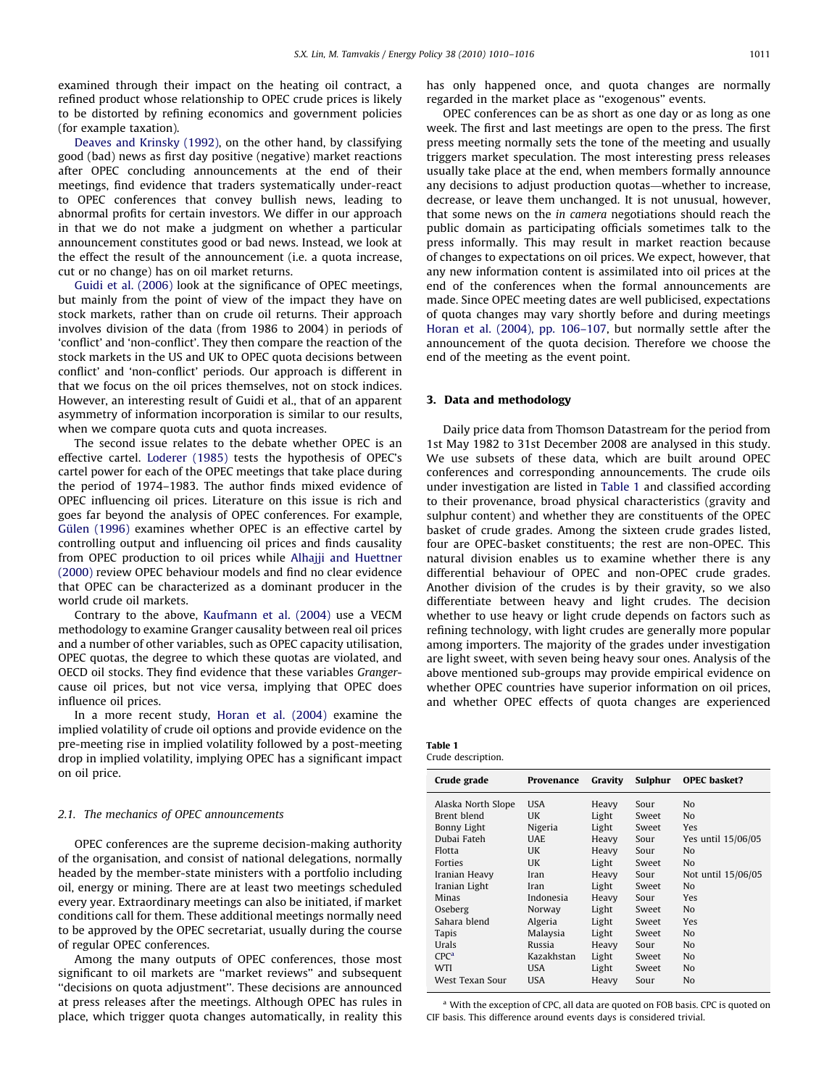examined through their impact on the heating oil contract, a refined product whose relationship to OPEC crude prices is likely to be distorted by refining economics and government policies (for example taxation).

[Deaves and Krinsky \(1992\),](#page--1-0) on the other hand, by classifying good (bad) news as first day positive (negative) market reactions after OPEC concluding announcements at the end of their meetings, find evidence that traders systematically under-react to OPEC conferences that convey bullish news, leading to abnormal profits for certain investors. We differ in our approach in that we do not make a judgment on whether a particular announcement constitutes good or bad news. Instead, we look at the effect the result of the announcement (i.e. a quota increase, cut or no change) has on oil market returns.

[Guidi et al. \(2006\)](#page--1-0) look at the significance of OPEC meetings, but mainly from the point of view of the impact they have on stock markets, rather than on crude oil returns. Their approach involves division of the data (from 1986 to 2004) in periods of 'conflict' and 'non-conflict'. They then compare the reaction of the stock markets in the US and UK to OPEC quota decisions between conflict' and 'non-conflict' periods. Our approach is different in that we focus on the oil prices themselves, not on stock indices. However, an interesting result of Guidi et al., that of an apparent asymmetry of information incorporation is similar to our results, when we compare quota cuts and quota increases.

The second issue relates to the debate whether OPEC is an effective cartel. [Loderer \(1985\)](#page--1-0) tests the hypothesis of OPEC's cartel power for each of the OPEC meetings that take place during the period of 1974–1983. The author finds mixed evidence of OPEC influencing oil prices. Literature on this issue is rich and goes far beyond the analysis of OPEC conferences. For example, Gülen (1996) examines whether OPEC is an effective cartel by controlling output and influencing oil prices and finds causality from OPEC production to oil prices while Alhaiji and Huettner [\(2000\)](#page--1-0) review OPEC behaviour models and find no clear evidence that OPEC can be characterized as a dominant producer in the world crude oil markets.

Contrary to the above, [Kaufmann et al. \(2004\)](#page--1-0) use a VECM methodology to examine Granger causality between real oil prices and a number of other variables, such as OPEC capacity utilisation, OPEC quotas, the degree to which these quotas are violated, and OECD oil stocks. They find evidence that these variables Grangercause oil prices, but not vice versa, implying that OPEC does influence oil prices.

In a more recent study, [Horan et al. \(2004\)](#page--1-0) examine the implied volatility of crude oil options and provide evidence on the pre-meeting rise in implied volatility followed by a post-meeting drop in implied volatility, implying OPEC has a significant impact on oil price.

#### 2.1. The mechanics of OPEC announcements

OPEC conferences are the supreme decision-making authority of the organisation, and consist of national delegations, normally headed by the member-state ministers with a portfolio including oil, energy or mining. There are at least two meetings scheduled every year. Extraordinary meetings can also be initiated, if market conditions call for them. These additional meetings normally need to be approved by the OPEC secretariat, usually during the course of regular OPEC conferences.

Among the many outputs of OPEC conferences, those most significant to oil markets are ''market reviews'' and subsequent ''decisions on quota adjustment''. These decisions are announced at press releases after the meetings. Although OPEC has rules in place, which trigger quota changes automatically, in reality this has only happened once, and quota changes are normally regarded in the market place as ''exogenous'' events.

OPEC conferences can be as short as one day or as long as one week. The first and last meetings are open to the press. The first press meeting normally sets the tone of the meeting and usually triggers market speculation. The most interesting press releases usually take place at the end, when members formally announce any decisions to adjust production quotas—whether to increase, decrease, or leave them unchanged. It is not unusual, however, that some news on the in camera negotiations should reach the public domain as participating officials sometimes talk to the press informally. This may result in market reaction because of changes to expectations on oil prices. We expect, however, that any new information content is assimilated into oil prices at the end of the conferences when the formal announcements are made. Since OPEC meeting dates are well publicised, expectations of quota changes may vary shortly before and during meetings [Horan et al. \(2004\), pp. 106–107,](#page--1-0) but normally settle after the announcement of the quota decision. Therefore we choose the end of the meeting as the event point.

## 3. Data and methodology

Daily price data from Thomson Datastream for the period from 1st May 1982 to 31st December 2008 are analysed in this study. We use subsets of these data, which are built around OPEC conferences and corresponding announcements. The crude oils under investigation are listed in Table 1 and classified according to their provenance, broad physical characteristics (gravity and sulphur content) and whether they are constituents of the OPEC basket of crude grades. Among the sixteen crude grades listed, four are OPEC-basket constituents; the rest are non-OPEC. This natural division enables us to examine whether there is any differential behaviour of OPEC and non-OPEC crude grades. Another division of the crudes is by their gravity, so we also differentiate between heavy and light crudes. The decision whether to use heavy or light crude depends on factors such as refining technology, with light crudes are generally more popular among importers. The majority of the grades under investigation are light sweet, with seven being heavy sour ones. Analysis of the above mentioned sub-groups may provide empirical evidence on whether OPEC countries have superior information on oil prices, and whether OPEC effects of quota changes are experienced

| Table 1 |                   |
|---------|-------------------|
|         | Crude description |

| Crude grade        | Provenance | Gravity | <b>Sulphur</b> | <b>OPEC</b> basket? |
|--------------------|------------|---------|----------------|---------------------|
| Alaska North Slope | <b>USA</b> | Heavy   | Sour           | N <sub>0</sub>      |
| Brent blend        | UK         | Light   | Sweet          | N <sub>0</sub>      |
| Bonny Light        | Nigeria    | Light   | Sweet          | Yes                 |
| Dubai Fateh        | <b>UAE</b> | Heavy   | Sour           | Yes until 15/06/05  |
| Flotta             | UK         | Heavy   | Sour           | N <sub>0</sub>      |
| <b>Forties</b>     | UK         | Light   | Sweet          | N <sub>0</sub>      |
| Iranian Heavy      | Iran       | Heavy   | Sour           | Not until 15/06/05  |
| Iranian Light      | Iran       | Light   | Sweet          | N <sub>0</sub>      |
| Minas              | Indonesia  | Heavy   | Sour           | Yes                 |
| Oseberg            | Norway     | Light   | Sweet          | N <sub>0</sub>      |
| Sahara blend       | Algeria    | Light   | Sweet          | Yes                 |
| Tapis              | Malaysia   | Light   | Sweet          | N <sub>0</sub>      |
| Urals              | Russia     | Heavy   | Sour           | N <sub>0</sub>      |
| CPC <sup>a</sup>   | Kazakhstan | Light   | Sweet          | N <sub>0</sub>      |
| <b>WTI</b>         | USA.       | Light   | Sweet          | N <sub>0</sub>      |
| West Texan Sour    | <b>USA</b> | Heavy   | Sour           | No                  |

<sup>a</sup> With the exception of CPC, all data are quoted on FOB basis. CPC is quoted on CIF basis. This difference around events days is considered trivial.